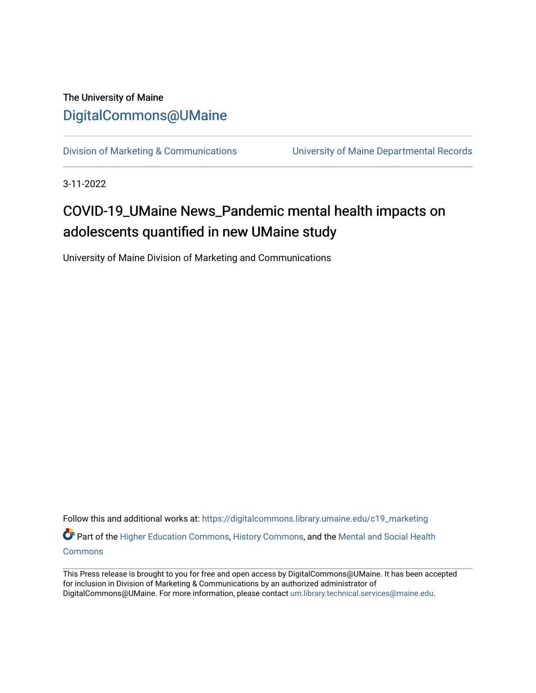#### The University of Maine [DigitalCommons@UMaine](https://digitalcommons.library.umaine.edu/)

[Division of Marketing & Communications](https://digitalcommons.library.umaine.edu/c19_marketing) [University of Maine Departmental Records](https://digitalcommons.library.umaine.edu/c19_umdr) 

3-11-2022

### COVID-19\_UMaine News\_Pandemic mental health impacts on adolescents quantified in new UMaine study

University of Maine Division of Marketing and Communications

Follow this and additional works at: [https://digitalcommons.library.umaine.edu/c19\\_marketing](https://digitalcommons.library.umaine.edu/c19_marketing?utm_source=digitalcommons.library.umaine.edu%2Fc19_marketing%2F251&utm_medium=PDF&utm_campaign=PDFCoverPages) Part of the [Higher Education Commons,](http://network.bepress.com/hgg/discipline/1245?utm_source=digitalcommons.library.umaine.edu%2Fc19_marketing%2F251&utm_medium=PDF&utm_campaign=PDFCoverPages) [History Commons,](http://network.bepress.com/hgg/discipline/489?utm_source=digitalcommons.library.umaine.edu%2Fc19_marketing%2F251&utm_medium=PDF&utm_campaign=PDFCoverPages) and the Mental and Social Health **[Commons](http://network.bepress.com/hgg/discipline/709?utm_source=digitalcommons.library.umaine.edu%2Fc19_marketing%2F251&utm_medium=PDF&utm_campaign=PDFCoverPages)** 

This Press release is brought to you for free and open access by DigitalCommons@UMaine. It has been accepted for inclusion in Division of Marketing & Communications by an authorized administrator of DigitalCommons@UMaine. For more information, please contact [um.library.technical.services@maine.edu](mailto:um.library.technical.services@maine.edu).